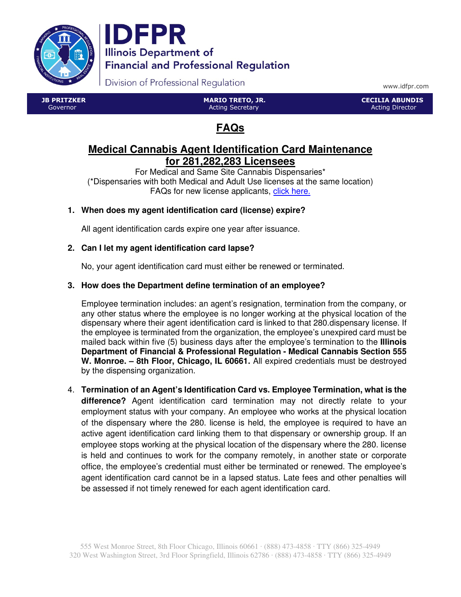



Division of Professional Regulation

www.idfpr.com

 JB PRITZKER Governor

 MARIO TRETO, JR. Acting Secretary

 CECILIA ABUNDIS Acting Director

# **FAQs**

# **Medical Cannabis Agent Identification Card Maintenance for 281,282,283 Licensees**

For Medical and Same Site Cannabis Dispensaries\* (\*Dispensaries with both Medical and Adult Use licenses at the same location) FAQs for new license applicants, click here.

# **1. When does my agent identification card (license) expire?**

All agent identification cards expire one year after issuance.

# **2. Can I let my agent identification card lapse?**

No, your agent identification card must either be renewed or terminated.

### **3. How does the Department define termination of an employee?**

Employee termination includes: an agent's resignation, termination from the company, or any other status where the employee is no longer working at the physical location of the dispensary where their agent identification card is linked to that 280.dispensary license. If the employee is terminated from the organization, the employee's unexpired card must be mailed back within five (5) business days after the employee's termination to the **Illinois Department of Financial & Professional Regulation - Medical Cannabis Section 555 W. Monroe. – 8th Floor, Chicago, IL 60661.** All expired credentials must be destroyed by the dispensing organization.

4. **Termination of an Agent's Identification Card vs. Employee Termination, what is the difference?** Agent identification card termination may not directly relate to your employment status with your company. An employee who works at the physical location of the dispensary where the 280. license is held, the employee is required to have an active agent identification card linking them to that dispensary or ownership group. If an employee stops working at the physical location of the dispensary where the 280. license is held and continues to work for the company remotely, in another state or corporate office, the employee's credential must either be terminated or renewed. The employee's agent identification card cannot be in a lapsed status. Late fees and other penalties will be assessed if not timely renewed for each agent identification card.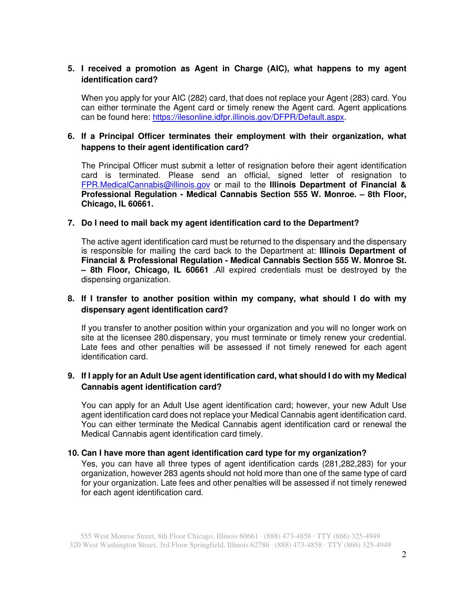#### **5. I received a promotion as Agent in Charge (AIC), what happens to my agent identification card?**

When you apply for your AIC (282) card, that does not replace your Agent (283) card. You can either terminate the Agent card or timely renew the Agent card. Agent applications can be found here: https://ilesonline.idfpr.illinois.gov/DFPR/Default.aspx.

#### **6. If a Principal Officer terminates their employment with their organization, what happens to their agent identification card?**

The Principal Officer must submit a letter of resignation before their agent identification card is terminated. Please send an official, signed letter of resignation to FPR.MedicalCannabis@illinois.gov or mail to the **Illinois Department of Financial & Professional Regulation - Medical Cannabis Section 555 W. Monroe. – 8th Floor, Chicago, IL 60661.** 

#### **7. Do I need to mail back my agent identification card to the Department?**

The active agent identification card must be returned to the dispensary and the dispensary is responsible for mailing the card back to the Department at: **Illinois Department of Financial & Professional Regulation - Medical Cannabis Section 555 W. Monroe St. – 8th Floor, Chicago, IL 60661** .All expired credentials must be destroyed by the dispensing organization.

#### **8. If I transfer to another position within my company, what should I do with my dispensary agent identification card?**

If you transfer to another position within your organization and you will no longer work on site at the licensee 280.dispensary, you must terminate or timely renew your credential. Late fees and other penalties will be assessed if not timely renewed for each agent identification card.

#### **9. If I apply for an Adult Use agent identification card, what should I do with my Medical Cannabis agent identification card?**

You can apply for an Adult Use agent identification card; however, your new Adult Use agent identification card does not replace your Medical Cannabis agent identification card. You can either terminate the Medical Cannabis agent identification card or renewal the Medical Cannabis agent identification card timely.

#### **10. Can I have more than agent identification card type for my organization?**

Yes, you can have all three types of agent identification cards (281,282,283) for your organization, however 283 agents should not hold more than one of the same type of card for your organization. Late fees and other penalties will be assessed if not timely renewed for each agent identification card.